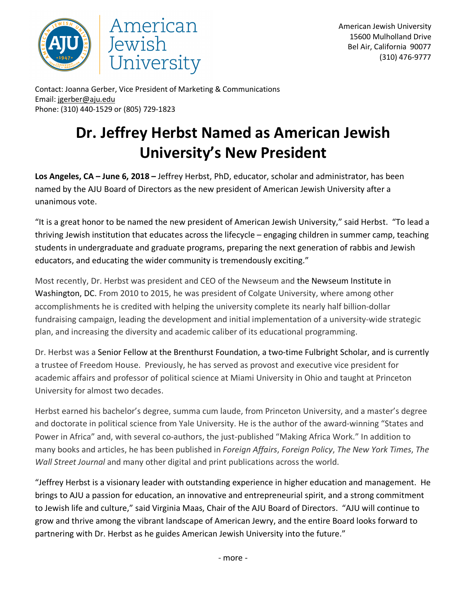



Contact: Joanna Gerber, Vice President of Marketing & Communications Email: jgerber@aju.edu Phone: (310) 440-1529 or (805) 729-1823

## **Dr. Jeffrey Herbst Named as American Jewish University's New President**

**Los Angeles, CA – June 6, 2018 –** Jeffrey Herbst, PhD, educator, scholar and administrator, has been named by the AJU Board of Directors as the new president of American Jewish University after a unanimous vote.

"It is a great honor to be named the new president of American Jewish University," said Herbst. "To lead a thriving Jewish institution that educates across the lifecycle – engaging children in summer camp, teaching students in undergraduate and graduate programs, preparing the next generation of rabbis and Jewish educators, and educating the wider community is tremendously exciting."

Most recently, Dr. Herbst was president and CEO of the Newseum and the Newseum Institute in Washington, DC. From 2010 to 2015, he was president of Colgate University, where among other accomplishments he is credited with helping the university complete its nearly half billion-dollar fundraising campaign, leading the development and initial implementation of a university-wide strategic plan, and increasing the diversity and academic caliber of its educational programming.

Dr. Herbst was a Senior Fellow at the Brenthurst Foundation, a two-time Fulbright Scholar, and is currently a trustee of Freedom House. Previously, he has served as provost and executive vice president for academic affairs and professor of political science at Miami University in Ohio and taught at Princeton University for almost two decades.

Herbst earned his bachelor's degree, summa cum laude, from Princeton University, and a master's degree and doctorate in political science from Yale University. He is the author of the award-winning "States and Power in Africa" and, with several co-authors, the just-published "Making Africa Work." In addition to many books and articles, he has been published in *Foreign Affairs*, *Foreign Policy*, *The New York Times*, *The Wall Street Journal* and many other digital and print publications across the world.

"Jeffrey Herbst is a visionary leader with outstanding experience in higher education and management. He brings to AJU a passion for education, an innovative and entrepreneurial spirit, and a strong commitment to Jewish life and culture," said Virginia Maas, Chair of the AJU Board of Directors. "AJU will continue to grow and thrive among the vibrant landscape of American Jewry, and the entire Board looks forward to partnering with Dr. Herbst as he guides American Jewish University into the future."